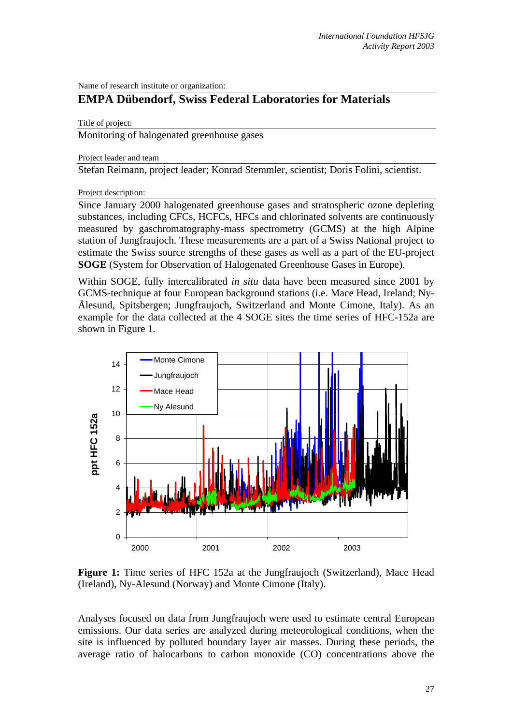Name of research institute or organization:

## **EMPA Dübendorf, Swiss Federal Laboratories for Materials**

Title of project:

Monitoring of halogenated greenhouse gases

Project leader and team

Stefan Reimann, project leader; Konrad Stemmler, scientist; Doris Folini, scientist.

Project description:

Since January 2000 halogenated greenhouse gases and stratospheric ozone depleting substances, including CFCs, HCFCs, HFCs and chlorinated solvents are continuously measured by gaschromatography-mass spectrometry (GCMS) at the high Alpine station of Jungfraujoch. These measurements are a part of a Swiss National project to estimate the Swiss source strengths of these gases as well as a part of the EU-project **SOGE** (System for Observation of Halogenated Greenhouse Gases in Europe).

Within SOGE, fully intercalibrated *in situ* data have been measured since 2001 by GCMS-technique at four European background stations (i.e. Mace Head, Ireland; Ny-Ålesund, Spitsbergen; Jungfraujoch, Switzerland and Monte Cimone, Italy). As an example for the data collected at the 4 SOGE sites the time series of HFC-152a are shown in Figure 1.



**Figure 1:** Time series of HFC 152a at the Jungfraujoch (Switzerland), Mace Head (Ireland), Ny-Alesund (Norway) and Monte Cimone (Italy).

Analyses focused on data from Jungfraujoch were used to estimate central European emissions. Our data series are analyzed during meteorological conditions, when the site is influenced by polluted boundary layer air masses. During these periods, the average ratio of halocarbons to carbon monoxide (CO) concentrations above the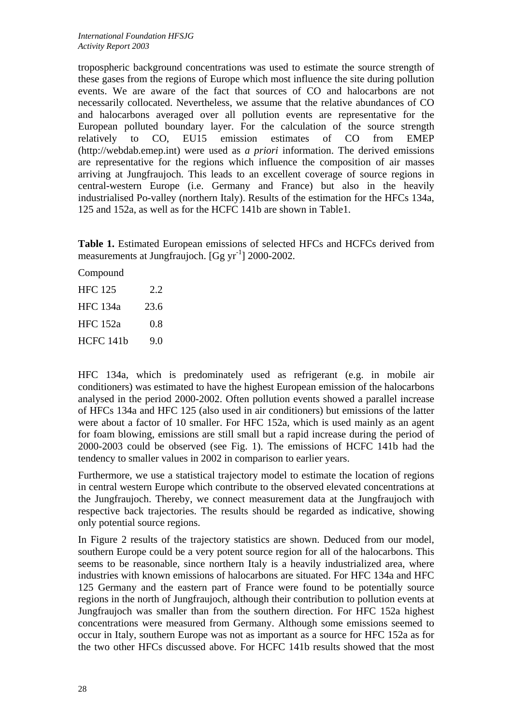tropospheric background concentrations was used to estimate the source strength of these gases from the regions of Europe which most influence the site during pollution events. We are aware of the fact that sources of CO and halocarbons are not necessarily collocated. Nevertheless, we assume that the relative abundances of CO and halocarbons averaged over all pollution events are representative for the European polluted boundary layer. For the calculation of the source strength relatively to CO, EU15 emission estimates of CO from EMEP (http://webdab.emep.int) were used as *a priori* information. The derived emissions are representative for the regions which influence the composition of air masses arriving at Jungfraujoch. This leads to an excellent coverage of source regions in central-western Europe (i.e. Germany and France) but also in the heavily industrialised Po-valley (northern Italy). Results of the estimation for the HFCs 134a, 125 and 152a, as well as for the HCFC 141b are shown in Table1.

**Table 1.** Estimated European emissions of selected HFCs and HCFCs derived from measurements at Jungfraujoch.  $[Gg yr^{-1}]$  2000-2002.

Compound HFC 125 2.2 HFC 134a 23.6 HFC 152a 0.8

HCFC 141b 9.0

HFC 134a, which is predominately used as refrigerant (e.g. in mobile air conditioners) was estimated to have the highest European emission of the halocarbons analysed in the period 2000-2002. Often pollution events showed a parallel increase of HFCs 134a and HFC 125 (also used in air conditioners) but emissions of the latter were about a factor of 10 smaller. For HFC 152a, which is used mainly as an agent for foam blowing, emissions are still small but a rapid increase during the period of 2000-2003 could be observed (see Fig. 1). The emissions of HCFC 141b had the tendency to smaller values in 2002 in comparison to earlier years.

Furthermore, we use a statistical trajectory model to estimate the location of regions in central western Europe which contribute to the observed elevated concentrations at the Jungfraujoch. Thereby, we connect measurement data at the Jungfraujoch with respective back trajectories. The results should be regarded as indicative, showing only potential source regions.

In Figure 2 results of the trajectory statistics are shown. Deduced from our model, southern Europe could be a very potent source region for all of the halocarbons. This seems to be reasonable, since northern Italy is a heavily industrialized area, where industries with known emissions of halocarbons are situated. For HFC 134a and HFC 125 Germany and the eastern part of France were found to be potentially source regions in the north of Jungfraujoch, although their contribution to pollution events at Jungfraujoch was smaller than from the southern direction. For HFC 152a highest concentrations were measured from Germany. Although some emissions seemed to occur in Italy, southern Europe was not as important as a source for HFC 152a as for the two other HFCs discussed above. For HCFC 141b results showed that the most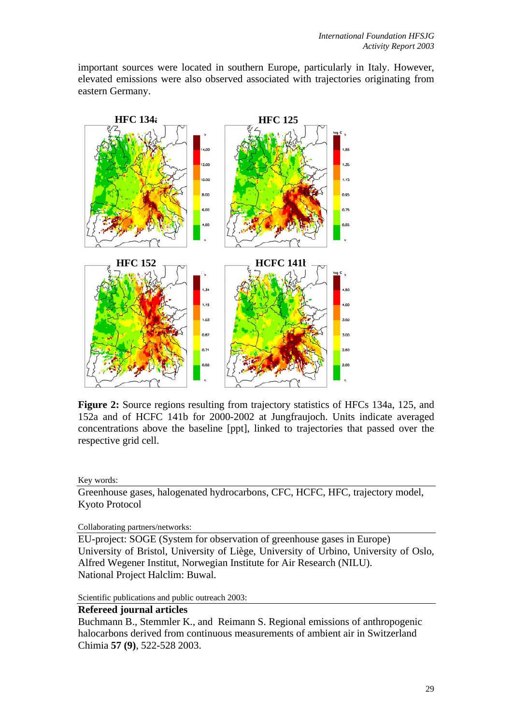important sources were located in southern Europe, particularly in Italy. However, elevated emissions were also observed associated with trajectories originating from eastern Germany.



**Figure 2:** Source regions resulting from trajectory statistics of HFCs 134a, 125, and 152a and of HCFC 141b for 2000-2002 at Jungfraujoch. Units indicate averaged concentrations above the baseline [ppt], linked to trajectories that passed over the respective grid cell.

Key words:

Greenhouse gases, halogenated hydrocarbons, CFC, HCFC, HFC, trajectory model, Kyoto Protocol

Collaborating partners/networks:

EU-project: SOGE (System for observation of greenhouse gases in Europe) University of Bristol, University of Liège, University of Urbino, University of Oslo, Alfred Wegener Institut, Norwegian Institute for Air Research (NILU). National Project Halclim: Buwal.

Scientific publications and public outreach 2003:

## **Refereed journal articles**

Buchmann B., Stemmler K., and Reimann S. Regional emissions of anthropogenic halocarbons derived from continuous measurements of ambient air in Switzerland Chimia **57 (9)**, 522-528 2003.